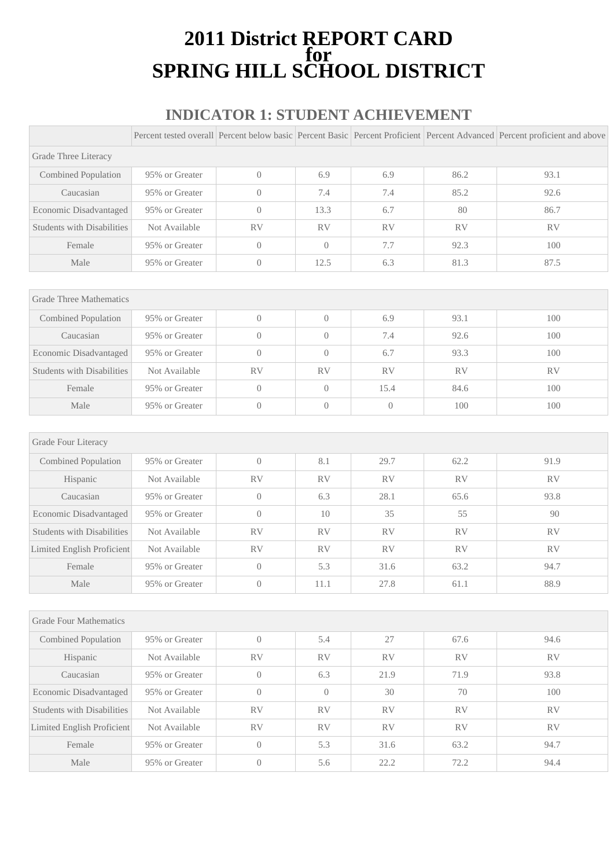## **2011 District REPORT CARD for SPRING HILL SCHOOL DISTRICT**

### **INDICATOR 1: STUDENT ACHIEVEMENT**

|                                   |                |                  |                |                |           | Percent tested overall Percent below basic Percent Basic Percent Proficient Percent Advanced Percent proficient and above |
|-----------------------------------|----------------|------------------|----------------|----------------|-----------|---------------------------------------------------------------------------------------------------------------------------|
| Grade Three Literacy              |                |                  |                |                |           |                                                                                                                           |
| Combined Population               | 95% or Greater | $\overline{0}$   | 6.9            | 6.9            | 86.2      | 93.1                                                                                                                      |
| Caucasian                         | 95% or Greater | $\overline{0}$   | 7.4            | 7.4            | 85.2      | 92.6                                                                                                                      |
| Economic Disadvantaged            | 95% or Greater | $\Omega$         | 13.3           | 6.7            | 80        | 86.7                                                                                                                      |
| <b>Students with Disabilities</b> | Not Available  | RV               | <b>RV</b>      | RV             | RV        | RV                                                                                                                        |
| Female                            | 95% or Greater | $\overline{0}$   | $\overline{0}$ | 7.7            | 92.3      | 100                                                                                                                       |
| Male                              | 95% or Greater | $\sqrt{a}$       | 12.5           | 6.3            | 81.3      | 87.5                                                                                                                      |
|                                   |                |                  |                |                |           |                                                                                                                           |
| <b>Grade Three Mathematics</b>    |                |                  |                |                |           |                                                                                                                           |
| Combined Population               | 95% or Greater | $\overline{0}$   | $\overline{0}$ | 6.9            | 93.1      | 100                                                                                                                       |
| Caucasian                         | 95% or Greater | $\overline{0}$   | $\overline{0}$ | 7.4            | 92.6      | 100                                                                                                                       |
| Economic Disadvantaged            | 95% or Greater | $\overline{0}$   | $\overline{0}$ | 6.7            | 93.3      | 100                                                                                                                       |
| <b>Students with Disabilities</b> | Not Available  | <b>RV</b>        | <b>RV</b>      | <b>RV</b>      | <b>RV</b> | <b>RV</b>                                                                                                                 |
| Female                            | 95% or Greater | $\overline{0}$   | $\overline{0}$ | 15.4           | 84.6      | 100                                                                                                                       |
| Male                              | 95% or Greater | $\theta$         | $\overline{0}$ | $\overline{0}$ | 100       | 100                                                                                                                       |
|                                   |                |                  |                |                |           |                                                                                                                           |
| Grade Four Literacy               |                |                  |                |                |           |                                                                                                                           |
| Combined Population               | 95% or Greater | $\overline{0}$   | 8.1            | 29.7           | 62.2      | 91.9                                                                                                                      |
| Hispanic                          | Not Available  | <b>RV</b>        | <b>RV</b>      | <b>RV</b>      | <b>RV</b> | <b>RV</b>                                                                                                                 |
| Caucasian                         | 95% or Greater | $\overline{0}$   | 6.3            | 28.1           | 65.6      | 93.8                                                                                                                      |
| Economic Disadvantaged            | 95% or Greater | $\overline{0}$   | 10             | 35             | 55        | 90                                                                                                                        |
| <b>Students with Disabilities</b> | Not Available  | <b>RV</b>        | <b>RV</b>      | <b>RV</b>      | <b>RV</b> | RV                                                                                                                        |
| Limited English Proficient        | Not Available  | RV               | <b>RV</b>      | <b>RV</b>      | <b>RV</b> | <b>RV</b>                                                                                                                 |
| Female                            | 95% or Greater | $\overline{0}$   | 5.3            | 31.6           | 63.2      | 94.7                                                                                                                      |
| Male                              | 95% or Greater | $\boldsymbol{0}$ | 11.1           | 27.8           | 61.1      | 88.9                                                                                                                      |
|                                   |                |                  |                |                |           |                                                                                                                           |
| <b>Grade Four Mathematics</b>     |                |                  |                |                |           |                                                                                                                           |
| Combined Population               | 95% or Greater | $\boldsymbol{0}$ | 5.4            | 27             | 67.6      | 94.6                                                                                                                      |
| Hispanic                          | Not Available  | <b>RV</b>        | RV             | RV             | RV        | RV                                                                                                                        |
| Caucasian                         | 95% or Greater | $\boldsymbol{0}$ | 6.3            | 21.9           | 71.9      | 93.8                                                                                                                      |
| Economic Disadvantaged            | 95% or Greater | $\boldsymbol{0}$ | $\overline{0}$ | $30\,$         | 70        | 100                                                                                                                       |
| <b>Students with Disabilities</b> | Not Available  | RV               | RV             | <b>RV</b>      | <b>RV</b> | RV                                                                                                                        |
| Limited English Proficient        | Not Available  | ${\rm RV}$       | <b>RV</b>      | ${\rm RV}$     | RV        | RV                                                                                                                        |
| Female                            | 95% or Greater | $\boldsymbol{0}$ | 5.3            | 31.6           | 63.2      | 94.7                                                                                                                      |
| Male                              | 95% or Greater | $\boldsymbol{0}$ | 5.6            | 22.2           | 72.2      | 94.4                                                                                                                      |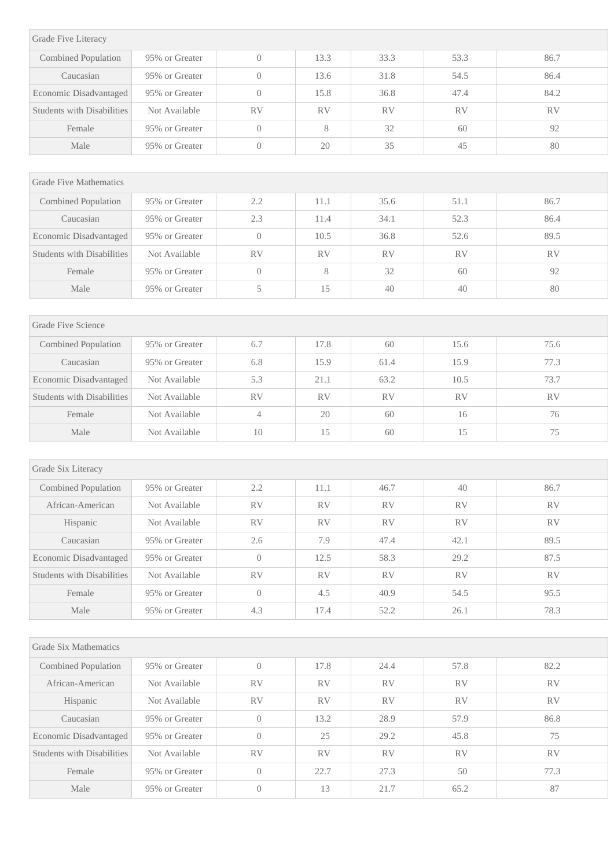| Grade Five Literacy               |                |                  |            |                        |            |            |
|-----------------------------------|----------------|------------------|------------|------------------------|------------|------------|
| Combined Population               | 95% or Greater | $\overline{0}$   | 13.3       | 33.3                   | 53.3       | 86.7       |
| Caucasian                         | 95% or Greater | $\overline{0}$   | 13.6       | 31.8                   | 54.5       | 86.4       |
| Economic Disadvantaged            | 95% or Greater | $\overline{0}$   | 15.8       | 36.8                   | 47.4       | 84.2       |
| <b>Students with Disabilities</b> | Not Available  | <b>RV</b>        | RV         | <b>RV</b>              | <b>RV</b>  | ${\rm RV}$ |
| Female                            | 95% or Greater | $\overline{0}$   | 8          | 32                     | 60         | 92         |
| Male                              | 95% or Greater | $\boldsymbol{0}$ | 20         | 35                     | 45         | 80         |
|                                   |                |                  |            |                        |            |            |
| <b>Grade Five Mathematics</b>     |                |                  |            |                        |            |            |
| Combined Population               | 95% or Greater | 2.2              | 11.1       | 35.6                   | 51.1       | 86.7       |
| Caucasian                         | 95% or Greater | 2.3              | 11.4       | 34.1                   | 52.3       | 86.4       |
| Economic Disadvantaged            | 95% or Greater | $\overline{0}$   | 10.5       | 36.8                   | 52.6       | 89.5       |
| <b>Students with Disabilities</b> | Not Available  | <b>RV</b>        | <b>RV</b>  | <b>RV</b>              | <b>RV</b>  | <b>RV</b>  |
| Female                            | 95% or Greater | $\boldsymbol{0}$ | 8          | 32                     | 60         | 92         |
| Male                              | 95% or Greater | 5                | 15         | 40                     | 40         | 80         |
|                                   |                |                  |            |                        |            |            |
| <b>Grade Five Science</b>         |                |                  |            |                        |            |            |
| Combined Population               | 95% or Greater | 6.7              | 17.8       | 60                     | 15.6       | 75.6       |
| Caucasian                         | 95% or Greater | 6.8              | 15.9       | 61.4                   | 15.9       | 77.3       |
| Economic Disadvantaged            | Not Available  | 5.3              | 21.1       | 63.2                   | 10.5       | 73.7       |
| <b>Students with Disabilities</b> | Not Available  | <b>RV</b>        | RV         | RV                     | RV         | <b>RV</b>  |
| Female                            | Not Available  | $\overline{4}$   | 20         | 60                     | 16         | 76         |
| Male                              | Not Available  | 10               | 15         | 60                     | 15         | 75         |
|                                   |                |                  |            |                        |            |            |
| Grade Six Literacy                |                |                  |            |                        |            |            |
| Combined Population               | 95% or Greater | 2.2              | $11.1\,$   | 46.7                   | 40         | 86.7       |
| African-American                  | Not Available  | <b>RV</b>        | RV         | RV                     | RV         | RV         |
| Hispanic                          | Not Available  | ${\rm RV}$       | ${\rm RV}$ | $\mathbb{R}\mathbf{V}$ | ${\rm RV}$ | ${\rm RV}$ |
| Caucasian                         | 95% or Greater | 2.6              | 7.9        | 47.4                   | 42.1       | 89.5       |
| Economic Disadvantaged            | 95% or Greater | $\overline{0}$   | 12.5       | 58.3                   | 29.2       | 87.5       |
| <b>Students with Disabilities</b> | Not Available  | ${\rm RV}$       | RV         | RV                     | RV         | <b>RV</b>  |
| Female                            | 95% or Greater | $\boldsymbol{0}$ | 4.5        | 40.9                   | 54.5       | 95.5       |
| Male                              | 95% or Greater | 4.3              | 17.4       | 52.2                   | 26.1       | 78.3       |
|                                   |                |                  |            |                        |            |            |
| <b>Grade Six Mathematics</b>      |                |                  |            |                        |            |            |
| Combined Population               | 95% or Greater | $\boldsymbol{0}$ | 17.8       | 24.4                   | 57.8       | 82.2       |
| African-American                  | Not Available  | ${\rm RV}$       | RV         | $\mathbb{R}\mathbf{V}$ | <b>RV</b>  | RV         |
| Hispanic                          | Not Available  | <b>RV</b>        | <b>RV</b>  | <b>RV</b>              | RV         | <b>RV</b>  |
| Caucasian                         | 95% or Greater | $\overline{0}$   | 13.2       | 28.9                   | 57.9       | 86.8       |
| Economic Disadvantaged            | 95% or Greater | $\boldsymbol{0}$ | $25\,$     | 29.2                   | 45.8       | 75         |
| <b>Students with Disabilities</b> | Not Available  | RV               | RV         | RV                     | RV         | RV         |
| Female                            | 95% or Greater | $\boldsymbol{0}$ | 22.7       | 27.3                   | 50         | 77.3       |
| Male                              | 95% or Greater | $\boldsymbol{0}$ | 13         | 21.7                   | 65.2       | 87         |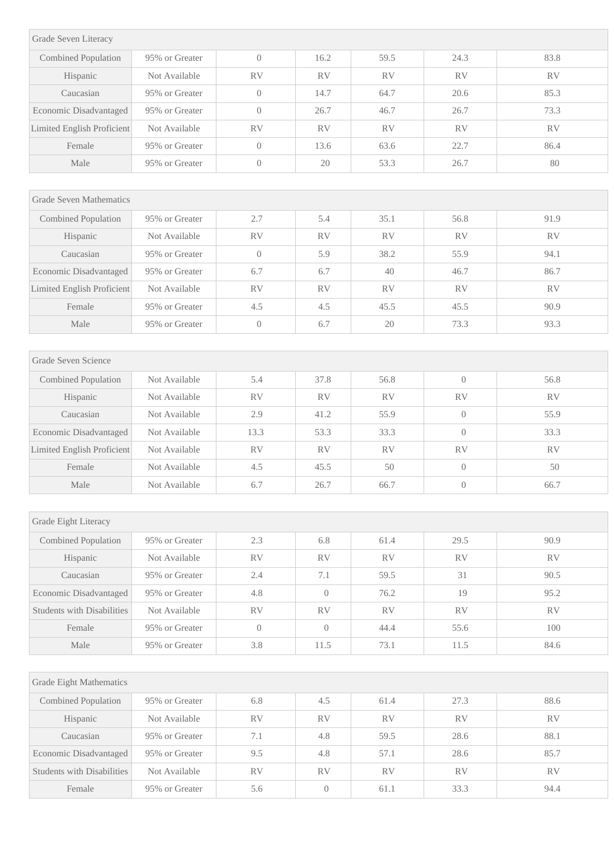| Grade Seven Literacy              |                |                |                  |            |                  |            |
|-----------------------------------|----------------|----------------|------------------|------------|------------------|------------|
| Combined Population               | 95% or Greater | $\theta$       | 16.2             | 59.5       | 24.3             | 83.8       |
| Hispanic                          | Not Available  | <b>RV</b>      | RV               | <b>RV</b>  | RV               | <b>RV</b>  |
| Caucasian                         | 95% or Greater | $\overline{0}$ | 14.7             | 64.7       | 20.6             | 85.3       |
| Economic Disadvantaged            | 95% or Greater | $\overline{0}$ | 26.7             | 46.7       | 26.7             | 73.3       |
| Limited English Proficient        | Not Available  | <b>RV</b>      | <b>RV</b>        | <b>RV</b>  | <b>RV</b>        | <b>RV</b>  |
| Female                            | 95% or Greater | $\overline{0}$ | 13.6             | 63.6       | 22.7             | 86.4       |
| Male                              | 95% or Greater | $\overline{0}$ | 20               | 53.3       | 26.7             | 80         |
|                                   |                |                |                  |            |                  |            |
| <b>Grade Seven Mathematics</b>    |                |                |                  |            |                  |            |
| Combined Population               | 95% or Greater | 2.7            | 5.4              | 35.1       | 56.8             | 91.9       |
| Hispanic                          | Not Available  | <b>RV</b>      | <b>RV</b>        | <b>RV</b>  | RV               | <b>RV</b>  |
| Caucasian                         | 95% or Greater | $\overline{0}$ | 5.9              | 38.2       | 55.9             | 94.1       |
| Economic Disadvantaged            | 95% or Greater | 6.7            | 6.7              | 40         | 46.7             | 86.7       |
| Limited English Proficient        | Not Available  | <b>RV</b>      | <b>RV</b>        | <b>RV</b>  | <b>RV</b>        | <b>RV</b>  |
| Female                            | 95% or Greater | 4.5            | 4.5              | 45.5       | 45.5             | 90.9       |
| Male                              | 95% or Greater | $\theta$       | 6.7              | 20         | 73.3             | 93.3       |
|                                   |                |                |                  |            |                  |            |
| Grade Seven Science               |                |                |                  |            |                  |            |
| Combined Population               | Not Available  | 5.4            | 37.8             | 56.8       | $\sqrt{a}$       | 56.8       |
| Hispanic                          | Not Available  | <b>RV</b>      | <b>RV</b>        | <b>RV</b>  | <b>RV</b>        | <b>RV</b>  |
| Caucasian                         | Not Available  | 2.9            | 41.2             | 55.9       | $\overline{0}$   | 55.9       |
| Economic Disadvantaged            | Not Available  | 13.3           | 53.3             | 33.3       | $\left( \right)$ | 33.3       |
| Limited English Proficient        | Not Available  | <b>RV</b>      | <b>RV</b>        | <b>RV</b>  | <b>RV</b>        | <b>RV</b>  |
| Female                            | Not Available  | 4.5            | 45.5             | 50         | $\sqrt{a}$       | 50         |
| Male                              | Not Available  | 6.7            | 26.7             | 66.7       | $\boldsymbol{0}$ | 66.7       |
|                                   |                |                |                  |            |                  |            |
| Grade Eight Literacy              |                |                |                  |            |                  |            |
| Combined Population               | 95% or Greater | 2.3            | 6.8              | 61.4       | 29.5             | 90.9       |
| Hispanic                          | Not Available  | ${\rm RV}$     | RV               | ${\rm RV}$ | RV               | ${\rm RV}$ |
| Caucasian                         | 95% or Greater | 2.4            | 7.1              | 59.5       | 31               | 90.5       |
| Economic Disadvantaged            | 95% or Greater | $4.8\,$        | $\overline{0}$   | 76.2       | 19               | 95.2       |
| <b>Students with Disabilities</b> | Not Available  | ${\rm RV}$     | <b>RV</b>        | ${\rm RV}$ | ${\rm RV}$       | <b>RV</b>  |
| Female                            | 95% or Greater | $\theta$       | $\overline{0}$   | 44.4       | 55.6             | 100        |
| Male                              | 95% or Greater | 3.8            | 11.5             | 73.1       | 11.5             | 84.6       |
|                                   |                |                |                  |            |                  |            |
| <b>Grade Eight Mathematics</b>    |                |                |                  |            |                  |            |
| Combined Population               | 95% or Greater | 6.8            | 4.5              | 61.4       | 27.3             | 88.6       |
| Hispanic                          | Not Available  | ${\rm RV}$     | RV               | ${\rm RV}$ | RV               | ${\rm RV}$ |
| Caucasian                         | 95% or Greater | 7.1            | 4.8              | 59.5       | 28.6             | 88.1       |
| Economic Disadvantaged            | 95% or Greater | 9.5            | 4.8              | 57.1       | 28.6             | 85.7       |
| <b>Students with Disabilities</b> | Not Available  | ${\rm RV}$     | ${\rm RV}$       | ${\rm RV}$ | ${\rm RV}$       | <b>RV</b>  |
| Female                            | 95% or Greater | 5.6            | $\boldsymbol{0}$ | 61.1       | 33.3             | 94.4       |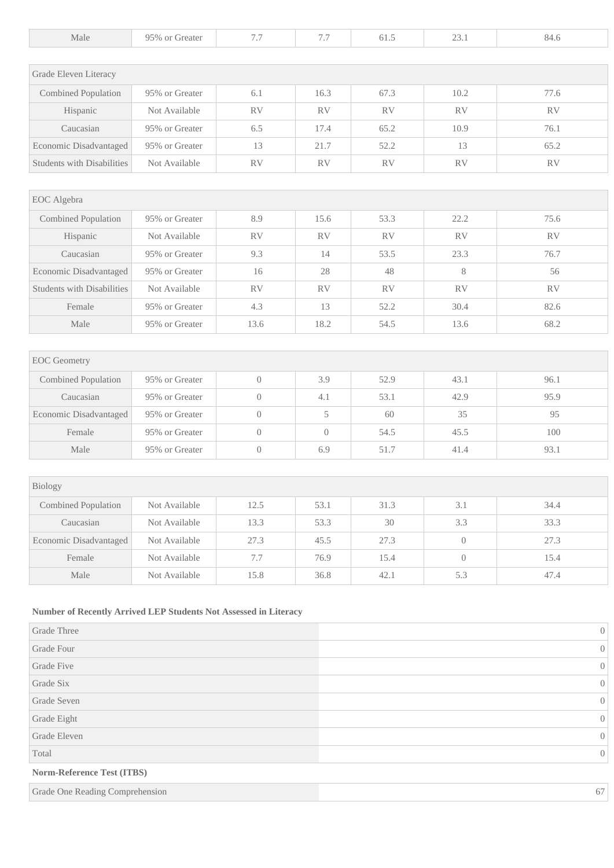| Male                              | 95% or Greater | 7.7              | 7.7            | 61.5      | 23.1           | 84.6      |
|-----------------------------------|----------------|------------------|----------------|-----------|----------------|-----------|
|                                   |                |                  |                |           |                |           |
| Grade Eleven Literacy             |                |                  |                |           |                |           |
| Combined Population               | 95% or Greater | 6.1              | 16.3           | 67.3      | 10.2           | 77.6      |
| Hispanic                          | Not Available  | <b>RV</b>        | <b>RV</b>      | <b>RV</b> | <b>RV</b>      | <b>RV</b> |
| Caucasian                         | 95% or Greater | 6.5              | 17.4           | 65.2      | 10.9           | 76.1      |
| Economic Disadvantaged            | 95% or Greater | 13               | 21.7           | 52.2      | 13             | 65.2      |
| <b>Students with Disabilities</b> | Not Available  | RV               | <b>RV</b>      | RV        | RV             | RV        |
|                                   |                |                  |                |           |                |           |
| EOC Algebra                       |                |                  |                |           |                |           |
| Combined Population               | 95% or Greater | 8.9              | 15.6           | 53.3      | 22.2           | 75.6      |
| Hispanic                          | Not Available  | RV               | <b>RV</b>      | RV        | <b>RV</b>      | RV        |
| Caucasian                         | 95% or Greater | 9.3              | 14             | 53.5      | 23.3           | 76.7      |
| Economic Disadvantaged            | 95% or Greater | 16               | 28             | 48        | 8              | 56        |
| <b>Students with Disabilities</b> | Not Available  | <b>RV</b>        | RV             | <b>RV</b> | <b>RV</b>      | <b>RV</b> |
| Female                            | 95% or Greater | 4.3              | 13             | 52.2      | 30.4           | 82.6      |
| Male                              | 95% or Greater | 13.6             | 18.2           | 54.5      | 13.6           | 68.2      |
|                                   |                |                  |                |           |                |           |
| <b>EOC</b> Geometry               |                |                  |                |           |                |           |
| Combined Population               | 95% or Greater | $\boldsymbol{0}$ | 3.9            | 52.9      | 43.1           | 96.1      |
| Caucasian                         | 95% or Greater | $\overline{0}$   | 4.1            | 53.1      | 42.9           | 95.9      |
| Economic Disadvantaged            | 95% or Greater | $\theta$         | 5              | 60        | 35             | 95        |
| Female                            | 95% or Greater | $\boldsymbol{0}$ | $\overline{0}$ | 54.5      | 45.5           | 100       |
| Male                              | 95% or Greater | $\theta$         | 6.9            | 51.7      | 41.4           | 93.1      |
|                                   |                |                  |                |           |                |           |
| Biology                           |                |                  |                |           |                |           |
| Combined Population               | Not Available  | 12.5             | 53.1           | 31.3      | 3.1            | 34.4      |
| Caucasian                         | Not Available  | 13.3             | 53.3           | 30        | 3.3            | 33.3      |
| Economic Disadvantaged            | Not Available  | 27.3             | 45.5           | 27.3      | $\,0\,$        | 27.3      |
| Female                            | Not Available  | 7.7              | 76.9           | 15.4      | $\overline{0}$ | 15.4      |
| Male                              | Not Available  | 15.8             | 36.8           | 42.1      | 5.3            | 47.4      |

#### **Number of Recently Arrived LEP Students Not Assessed in Literacy**

| Grade Three                     | $\overline{0}$ |
|---------------------------------|----------------|
| Grade Four                      | $\overline{0}$ |
| Grade Five                      | $\overline{0}$ |
| Grade Six                       | $\overline{0}$ |
| Grade Seven                     | $\overline{0}$ |
| Grade Eight                     | $\overline{0}$ |
| Grade Eleven                    | $\overline{0}$ |
| Total                           | $\overline{0}$ |
| Norm-Reference Test (ITBS)      |                |
| Grade One Reading Comprehension | 67             |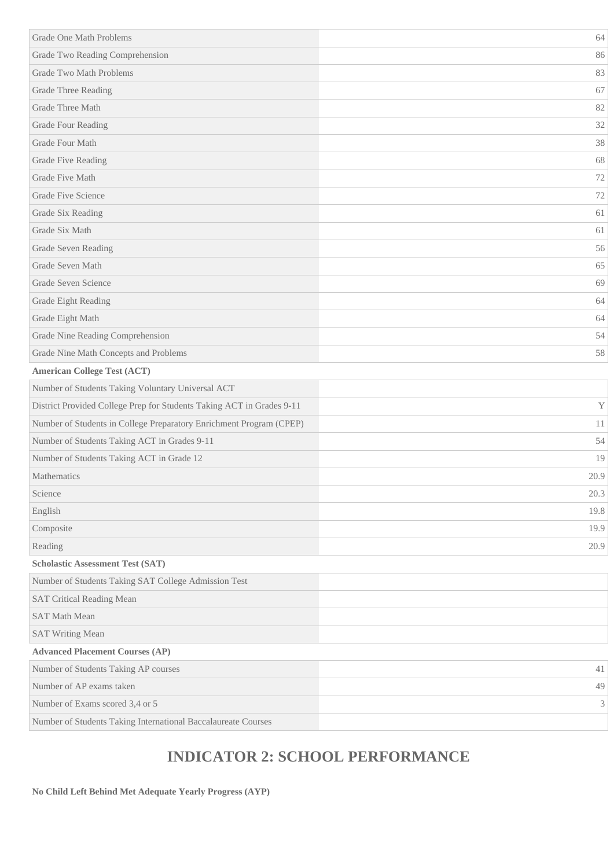| Grade One Math Problems                                               | 64             |
|-----------------------------------------------------------------------|----------------|
| Grade Two Reading Comprehension                                       | 86             |
| <b>Grade Two Math Problems</b>                                        | 83             |
| Grade Three Reading                                                   | 67             |
| <b>Grade Three Math</b>                                               | 82             |
| Grade Four Reading                                                    | 32             |
| Grade Four Math                                                       | 38             |
| Grade Five Reading                                                    | 68             |
| Grade Five Math                                                       | 72             |
| Grade Five Science                                                    | 72             |
| Grade Six Reading                                                     | 61             |
| Grade Six Math                                                        | 61             |
| Grade Seven Reading                                                   | 56             |
| Grade Seven Math                                                      | 65             |
| Grade Seven Science                                                   | 69             |
| Grade Eight Reading                                                   | 64             |
| Grade Eight Math                                                      | 64             |
| Grade Nine Reading Comprehension                                      | 54             |
| Grade Nine Math Concepts and Problems                                 | 58             |
| <b>American College Test (ACT)</b>                                    |                |
| Number of Students Taking Voluntary Universal ACT                     |                |
| District Provided College Prep for Students Taking ACT in Grades 9-11 | Y              |
| Number of Students in College Preparatory Enrichment Program (CPEP)   | 11             |
| Number of Students Taking ACT in Grades 9-11                          | 54             |
| Number of Students Taking ACT in Grade 12                             | 19             |
| Mathematics                                                           | 20.9           |
| Science                                                               | 20.3           |
| English                                                               | 19.8           |
| Composite                                                             | 19.9           |
| Reading                                                               | 20.9           |
| <b>Scholastic Assessment Test (SAT)</b>                               |                |
| Number of Students Taking SAT College Admission Test                  |                |
| <b>SAT Critical Reading Mean</b>                                      |                |
| <b>SAT Math Mean</b>                                                  |                |
| <b>SAT Writing Mean</b>                                               |                |
| <b>Advanced Placement Courses (AP)</b>                                |                |
| Number of Students Taking AP courses                                  | 41             |
| Number of AP exams taken                                              | 49             |
| Number of Exams scored 3,4 or 5                                       | $\mathfrak{Z}$ |
| Number of Students Taking International Baccalaureate Courses         |                |

# **INDICATOR 2: SCHOOL PERFORMANCE**

**No Child Left Behind Met Adequate Yearly Progress (AYP)**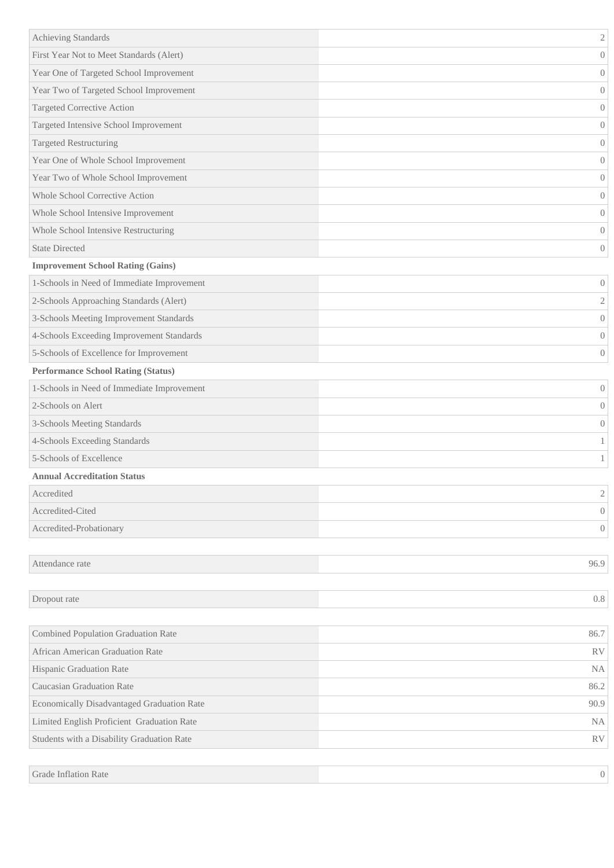| Achieving Standards                        | $\mathbf{2}$     |
|--------------------------------------------|------------------|
| First Year Not to Meet Standards (Alert)   | $\overline{0}$   |
| Year One of Targeted School Improvement    | $\overline{0}$   |
| Year Two of Targeted School Improvement    | $\sqrt{a}$       |
| Targeted Corrective Action                 | $\mathbf{0}$     |
| Targeted Intensive School Improvement      | $\theta$         |
| Targeted Restructuring                     | $\theta$         |
| Year One of Whole School Improvement       | $\overline{0}$   |
| Year Two of Whole School Improvement       | $\theta$         |
| Whole School Corrective Action             | $\sqrt{a}$       |
| Whole School Intensive Improvement         | $\theta$         |
| Whole School Intensive Restructuring       | $\theta$         |
| <b>State Directed</b>                      | $\theta$         |
| <b>Improvement School Rating (Gains)</b>   |                  |
| 1-Schools in Need of Immediate Improvement | $\overline{0}$   |
| 2-Schools Approaching Standards (Alert)    | $\mathfrak{2}$   |
| 3-Schools Meeting Improvement Standards    | $\theta$         |
| 4-Schools Exceeding Improvement Standards  | $\theta$         |
| 5-Schools of Excellence for Improvement    | $\sqrt{a}$       |
| <b>Performance School Rating (Status)</b>  |                  |
| 1-Schools in Need of Immediate Improvement | $\overline{0}$   |
| 2-Schools on Alert                         | $\sqrt{a}$       |
| 3-Schools Meeting Standards                | $\theta$         |
| 4-Schools Exceeding Standards              | 1                |
| 5-Schools of Excellence                    | 1                |
| <b>Annual Accreditation Status</b>         |                  |
| Accredited                                 | $\mathbf{2}$     |
| Accredited-Cited                           | $\boldsymbol{0}$ |
| Accredited-Probationary                    | $\boldsymbol{0}$ |
|                                            |                  |
| Attendance rate                            | 96.9             |
|                                            |                  |
| Dropout rate                               | 0.8              |
|                                            |                  |
| <b>Combined Population Graduation Rate</b> | 86.7             |
| African American Graduation Rate           | <b>RV</b>        |
| Hispanic Graduation Rate                   | NA               |
| Caucasian Graduation Rate                  | 86.2             |
| Economically Disadvantaged Graduation Rate | 90.9             |
| Limited English Proficient Graduation Rate | NA               |
| Students with a Disability Graduation Rate | ${\rm RV}$       |
|                                            |                  |
|                                            |                  |

Grade Inflation Rate

0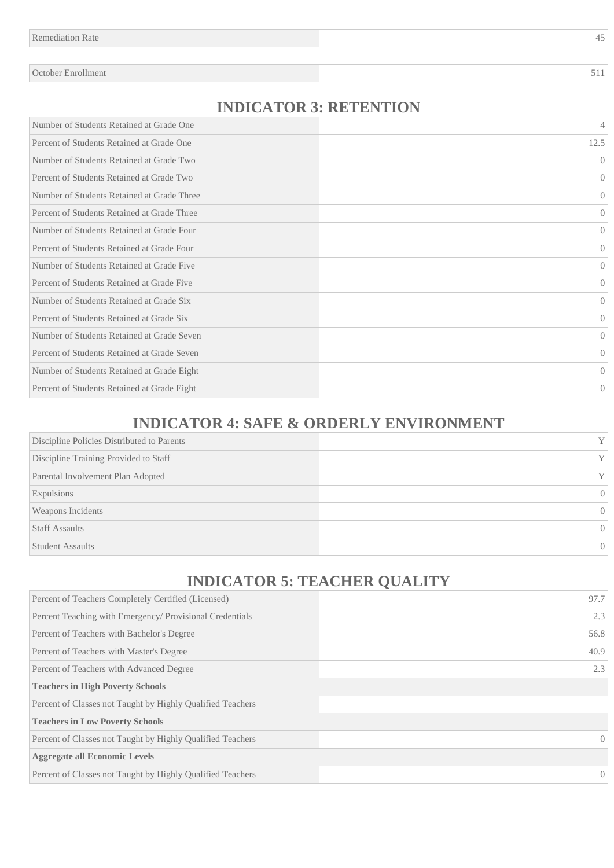October Enrollment 511

#### **INDICATOR 3: RETENTION**

| Number of Students Retained at Grade One    | 4                |
|---------------------------------------------|------------------|
| Percent of Students Retained at Grade One   | 12.5             |
| Number of Students Retained at Grade Two    | $\Omega$         |
| Percent of Students Retained at Grade Two   | $\Omega$         |
| Number of Students Retained at Grade Three  | $\overline{0}$   |
| Percent of Students Retained at Grade Three | $\Omega$         |
| Number of Students Retained at Grade Four   | $\Omega$         |
| Percent of Students Retained at Grade Four  | $\left( \right)$ |
| Number of Students Retained at Grade Five   | $\Omega$         |
| Percent of Students Retained at Grade Five  | $\overline{0}$   |
| Number of Students Retained at Grade Six    | $\Omega$         |
| Percent of Students Retained at Grade Six   | $\Omega$         |
| Number of Students Retained at Grade Seven  | $\left( \right)$ |
| Percent of Students Retained at Grade Seven | $\Omega$         |
| Number of Students Retained at Grade Eight  | $\Omega$         |
| Percent of Students Retained at Grade Eight | $\overline{0}$   |

### **INDICATOR 4: SAFE & ORDERLY ENVIRONMENT**

| Discipline Policies Distributed to Parents | $\mathbf{V}$ |
|--------------------------------------------|--------------|
| Discipline Training Provided to Staff      | Y            |
| Parental Involvement Plan Adopted          | Y            |
| Expulsions                                 | $\Omega$     |
| Weapons Incidents                          | $\Omega$     |
| <b>Staff Assaults</b>                      | $\Omega$     |
| <b>Student Assaults</b>                    | 0            |

# **INDICATOR 5: TEACHER QUALITY**

| Percent of Teachers Completely Certified (Licensed)        | 97.7             |
|------------------------------------------------------------|------------------|
| Percent Teaching with Emergency/ Provisional Credentials   | 2.3              |
| Percent of Teachers with Bachelor's Degree                 | 56.8             |
| Percent of Teachers with Master's Degree                   | 40.9             |
| Percent of Teachers with Advanced Degree                   | 2.3              |
| <b>Teachers in High Poverty Schools</b>                    |                  |
| Percent of Classes not Taught by Highly Qualified Teachers |                  |
| <b>Teachers in Low Poverty Schools</b>                     |                  |
| Percent of Classes not Taught by Highly Qualified Teachers | $\left( \right)$ |
| <b>Aggregate all Economic Levels</b>                       |                  |
| Percent of Classes not Taught by Highly Qualified Teachers | $\theta$         |